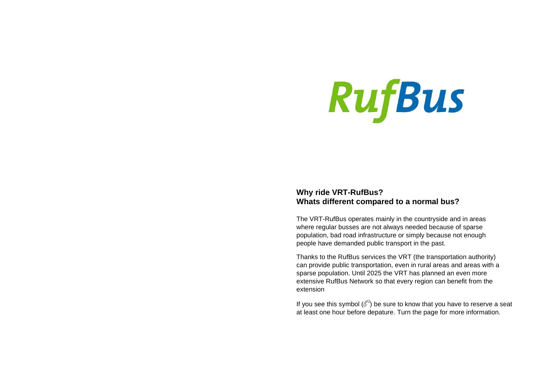# **RufBus**

# **Why ride VRT-RufBus? Whats different compared to a normal bus?**

The VRT-RufBus operates mainly in the countryside and in areas where regular busses are not always needed because of sparse population, bad road infrastructure or simply because not enough people have demanded public transport in the past.

Thanks to the RufBus services the VRT (the transportation authority) can provide public transportation, even in rural areas and areas with a sparse population. Until 2025 the VRT has planned an even more extensive RufBus Network so that every region can benefit from the extension

If you see this symbol  $(\mathcal{O})$  be sure to know that you have to reserve a seat at least one hour before depature. Turn the page for more information.